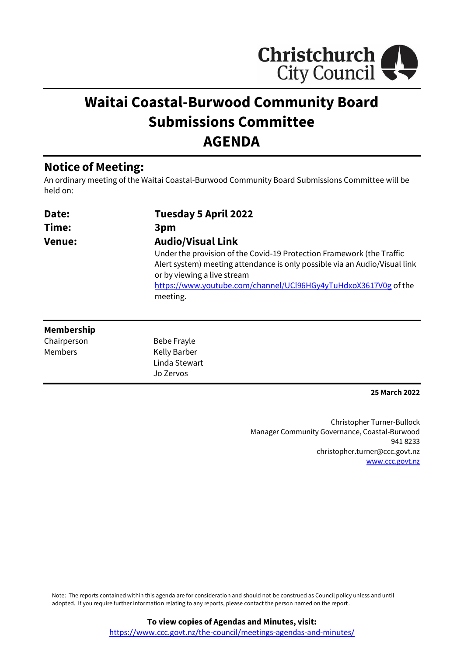

# **Waitai Coastal-Burwood Community Board Submissions Committee AGENDA**

## **Notice of Meeting:**

An ordinary meeting of the Waitai Coastal-Burwood Community Board Submissions Committee will be held on:

| Date:         | Tuesday 5 April 2022                                                       |
|---------------|----------------------------------------------------------------------------|
| Time:         | 3pm                                                                        |
| <b>Venue:</b> | <b>Audio/Visual Link</b>                                                   |
|               | Under the provision of the Covid-19 Protection Framework (the Traffic      |
|               | Alert system) meeting attendance is only possible via an Audio/Visual link |
|               | or by viewing a live stream                                                |
|               | https://www.youtube.com/channel/UCl96HGy4yTuHdxoX3617V0g of the            |
|               | meeting.                                                                   |
|               |                                                                            |

#### **Membership**

Chairperson Members

Bebe Frayle Kelly Barber Linda Stewart Jo Zervos

**25 March 2022**

Christopher Turner-Bullock Manager Community Governance, Coastal-Burwood 941 8233 christopher.turner@ccc.govt.nz [www.ccc.govt.nz](http://www.ccc.govt.nz/)

Note: The reports contained within this agenda are for consideration and should not be construed as Council policy unless and until adopted. If you require further information relating to any reports, please contact the person named on the report.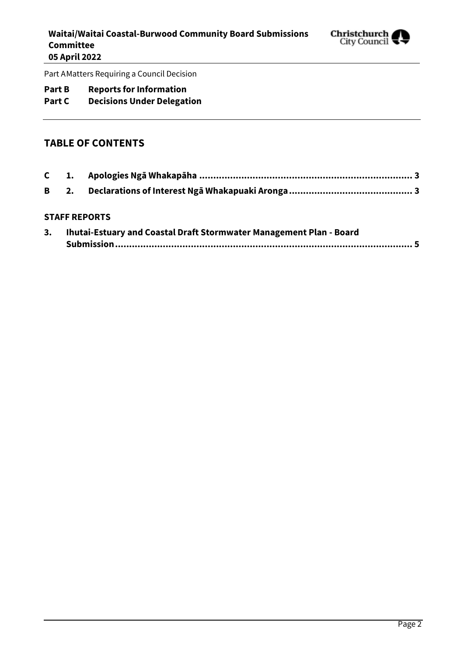

Part AMatters Requiring a Council Decision

#### **Part B Reports for Information**

## **Part C Decisions Under Delegation**

#### **TABLE OF CONTENTS**

#### **STAFF REPORTS**

| Ihutai-Estuary and Coastal Draft Stormwater Management Plan - Board |  |
|---------------------------------------------------------------------|--|
|                                                                     |  |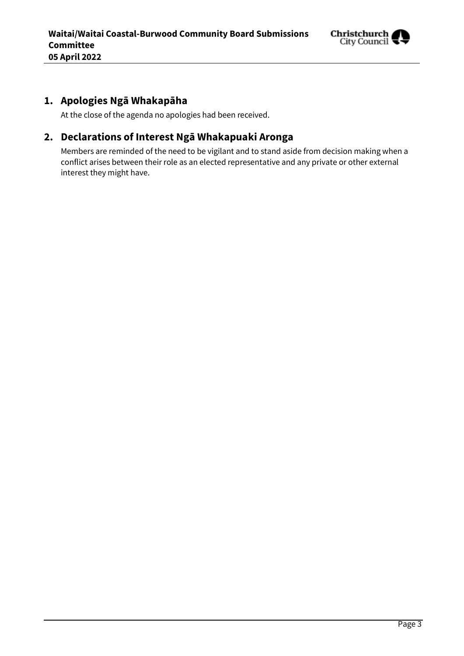

## <span id="page-2-0"></span>**1. Apologies Ngā Whakapāha**

At the close of the agenda no apologies had been received.

## <span id="page-2-1"></span>**2. Declarations of Interest Ngā Whakapuaki Aronga**

Members are reminded of the need to be vigilant and to stand aside from decision making when a conflict arises between their role as an elected representative and any private or other external interest they might have.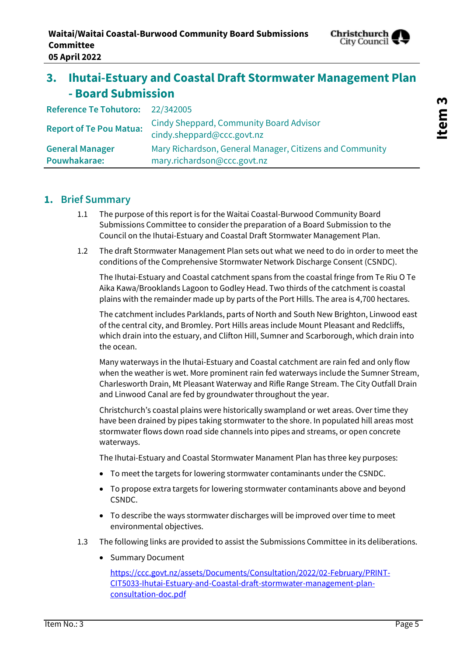

# <span id="page-4-0"></span>**3. Ihutai-Estuary and Coastal Draft Stormwater Management Plan - Board Submission**

| Reference Te Tohutoro: 22/342005 |                                                                              |
|----------------------------------|------------------------------------------------------------------------------|
| <b>Report of Te Pou Matua:</b>   | <b>Cindy Sheppard, Community Board Advisor</b><br>cindy.sheppard@ccc.govt.nz |
| <b>General Manager</b>           | Mary Richardson, General Manager, Citizens and Community                     |
| Pouwhakarae:                     | mary.richardson@ccc.govt.nz                                                  |

#### **1. Brief Summary**

- 1.1 The purpose of this report is for the Waitai Coastal-Burwood Community Board Submissions Committee to consider the preparation of a Board Submission to the Council on the Ihutai-Estuary and Coastal Draft Stormwater Management Plan.
- 1.2 The draft Stormwater Management Plan sets out what we need to do in order to meet the conditions of the Comprehensive Stormwater Network Discharge Consent (CSNDC).

The Ihutai-Estuary and Coastal catchment spans from the coastal fringe from Te Riu O Te Aika Kawa/Brooklands Lagoon to Godley Head. Two thirds of the catchment is coastal plains with the remainder made up by parts of the Port Hills. The area is 4,700 hectares.

The catchment includes Parklands, parts of North and South New Brighton, Linwood east of the central city, and Bromley. Port Hills areas include Mount Pleasant and Redcliffs, which drain into the estuary, and Clifton Hill, Sumner and Scarborough, which drain into the ocean.

Many waterways in the Ihutai-Estuary and Coastal catchment are rain fed and only flow when the weather is wet. More prominent rain fed waterways include the Sumner Stream, Charlesworth Drain, Mt Pleasant Waterway and Rifle Range Stream. The City Outfall Drain and Linwood Canal are fed by groundwater throughout the year.

Christchurch's coastal plains were historically swampland or wet areas. Over time they have been drained by pipes taking stormwater to the shore. In populated hill areas most stormwater flows down road side channels into pipes and streams, or open concrete waterways.

The Ihutai-Estuary and Coastal Stormwater Manament Plan has three key purposes:

- To meet the targets for lowering stormwater contaminants under the CSNDC.
- To propose extra targets for lowering stormwater contaminants above and beyond CSNDC.
- To describe the ways stormwater discharges will be improved over time to meet environmental objectives.
- 1.3 The following links are provided to assist the Submissions Committee in its deliberations.
	- Summary Document

[https://ccc.govt.nz/assets/Documents/Consultation/2022/02-February/PRINT-](https://ccc.govt.nz/assets/Documents/Consultation/2022/02-February/PRINT-CIT5033-Ihutai-Estuary-and-Coastal-draft-stormwater-management-plan-consultation-doc.pdf)[CIT5033-Ihutai-Estuary-and-Coastal-draft-stormwater-management-plan](https://ccc.govt.nz/assets/Documents/Consultation/2022/02-February/PRINT-CIT5033-Ihutai-Estuary-and-Coastal-draft-stormwater-management-plan-consultation-doc.pdf)[consultation-doc.pdf](https://ccc.govt.nz/assets/Documents/Consultation/2022/02-February/PRINT-CIT5033-Ihutai-Estuary-and-Coastal-draft-stormwater-management-plan-consultation-doc.pdf)